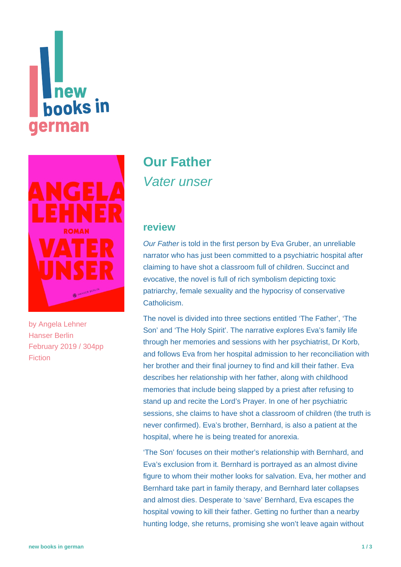# new **hooks** in **jerman**



by [Angela Lehner](https://www.new-books-in-german.com/recommendations/?searchInput=Angela%20Lehner) Hanser Berlin February 2019 / 304pp Fiction

# **[Our Father](https://www.new-books-in-german.com/recommendations/our-father/)** Vater unser

# **review**

Our Father is told in the first person by Eva Gruber, an unreliable narrator who has just been committed to a psychiatric hospital after claiming to have shot a classroom full of children. Succinct and evocative, the novel is full of rich symbolism depicting toxic patriarchy, female sexuality and the hypocrisy of conservative Catholicism.

The novel is divided into three sections entitled 'The Father', 'The Son' and 'The Holy Spirit'. The narrative explores Eva's family life through her memories and sessions with her psychiatrist, Dr Korb, and follows Eva from her hospital admission to her reconciliation with her brother and their final journey to find and kill their father. Eva describes her relationship with her father, along with childhood memories that include being slapped by a priest after refusing to stand up and recite the Lord's Prayer. In one of her psychiatric sessions, she claims to have shot a classroom of children (the truth is never confirmed). Eva's brother, Bernhard, is also a patient at the hospital, where he is being treated for anorexia.

'The Son' focuses on their mother's relationship with Bernhard, and Eva's exclusion from it. Bernhard is portrayed as an almost divine figure to whom their mother looks for salvation. Eva, her mother and Bernhard take part in family therapy, and Bernhard later collapses and almost dies. Desperate to 'save' Bernhard, Eva escapes the hospital vowing to kill their father. Getting no further than a nearby hunting lodge, she returns, promising she won't leave again without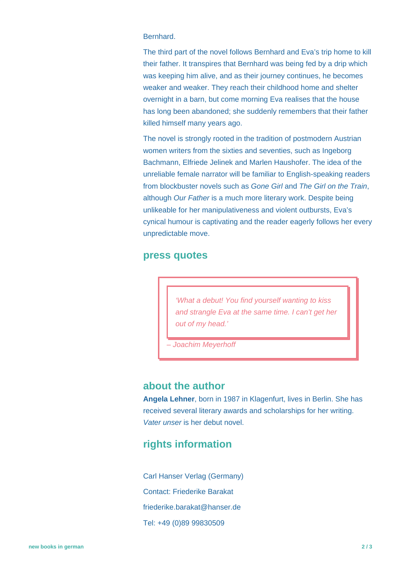#### **Bernhard**

The third part of the novel follows Bernhard and Eva's trip home to kill their father. It transpires that Bernhard was being fed by a drip which was keeping him alive, and as their journey continues, he becomes weaker and weaker. They reach their childhood home and shelter overnight in a barn, but come morning Eva realises that the house has long been abandoned; she suddenly remembers that their father killed himself many years ago.

The novel is strongly rooted in the tradition of postmodern Austrian women writers from the sixties and seventies, such as Ingeborg Bachmann, Elfriede Jelinek and Marlen Haushofer. The idea of the unreliable female narrator will be familiar to English-speaking readers from blockbuster novels such as Gone Girl and The Girl on the Train, although Our Father is a much more literary work. Despite being unlikeable for her manipulativeness and violent outbursts, Eva's cynical humour is captivating and the reader eagerly follows her every unpredictable move.

### **press quotes**

'What a debut! You find yourself wanting to kiss and strangle Eva at the same time. I can't get her out of my head.'

– Joachim Meyerhoff

## **about the author**

**Angela Lehner**, born in 1987 in Klagenfurt, lives in Berlin. She has received several literary awards and scholarships for her writing. Vater unser is her debut novel.

# **rights information**

Carl Hanser Verlag (Germany) Contact: Friederike Barakat friederike.barakat@hanser.de Tel: +49 (0)89 99830509